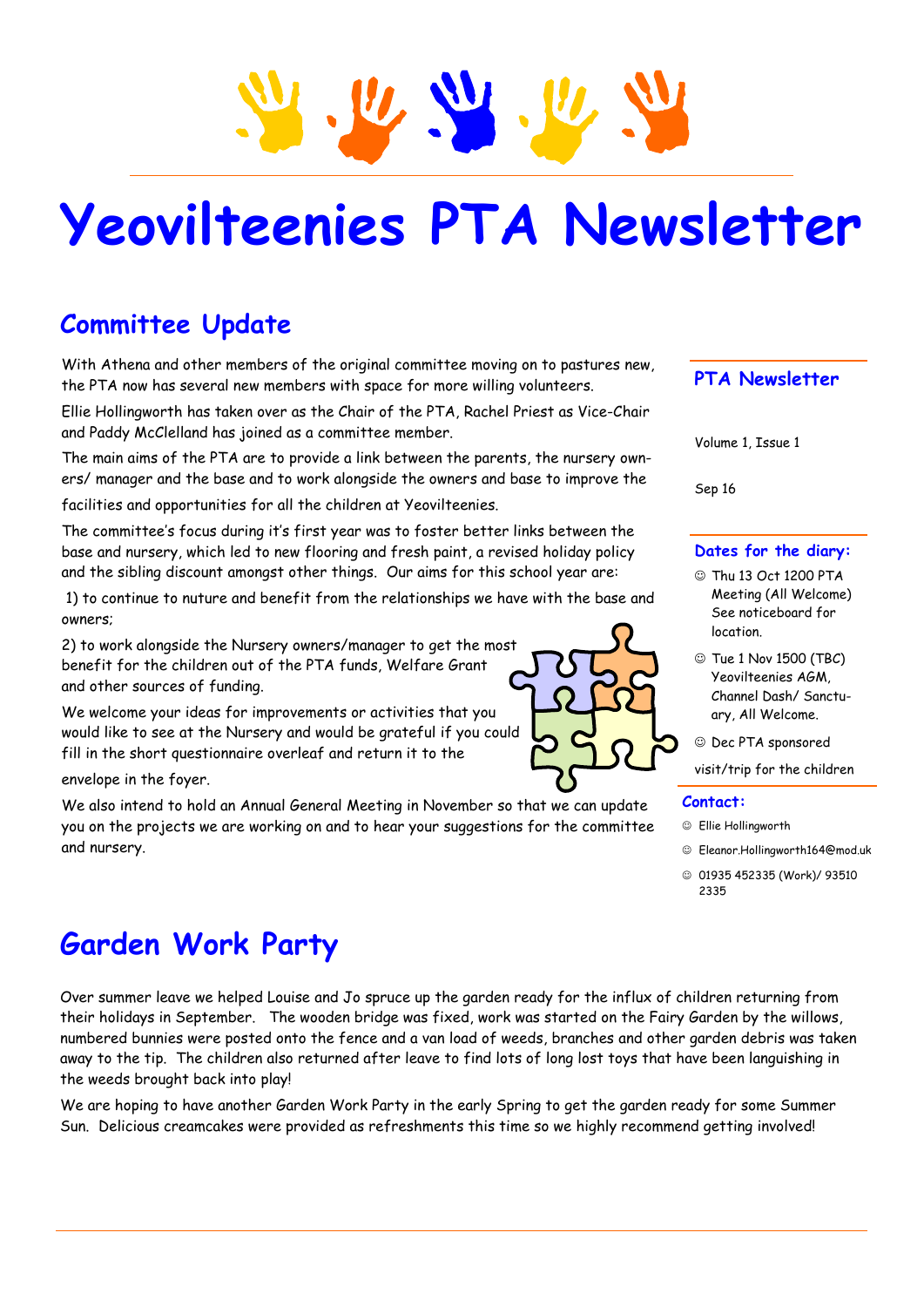# **Yeovilteenies PTA Newsletter**

## **Committee Update**

With Athena and other members of the original committee moving on to pastures new, the PTA now has several new members with space for more willing volunteers.

Ellie Hollingworth has taken over as the Chair of the PTA, Rachel Priest as Vice-Chair and Paddy McClelland has joined as a committee member.

The main aims of the PTA are to provide a link between the parents, the nursery owners/ manager and the base and to work alongside the owners and base to improve the

facilities and opportunities for all the children at Yeovilteenies.

The committee's focus during it's first year was to foster better links between the base and nursery, which led to new flooring and fresh paint, a revised holiday policy and the sibling discount amongst other things. Our aims for this school year are:

1) to continue to nuture and benefit from the relationships we have with the base and owners;

2) to work alongside the Nursery owners/manager to get the most benefit for the children out of the PTA funds, Welfare Grant and other sources of funding.

We welcome your ideas for improvements or activities that you would like to see at the Nursery and would be grateful if you could fill in the short questionnaire overleaf and return it to the

envelope in the foyer.

We also intend to hold an Annual General Meeting in November so that we can update you on the projects we are working on and to hear your suggestions for the committee and nursery.

## **Garden Work Party**

Over summer leave we helped Louise and Jo spruce up the garden ready for the influx of children returning from their holidays in September. The wooden bridge was fixed, work was started on the Fairy Garden by the willows, numbered bunnies were posted onto the fence and a van load of weeds, branches and other garden debris was taken away to the tip. The children also returned after leave to find lots of long lost toys that have been languishing in the weeds brought back into play!

We are hoping to have another Garden Work Party in the early Spring to get the garden ready for some Summer Sun. Delicious creamcakes were provided as refreshments this time so we highly recommend getting involved!



### **PTA Newsletter**

Volume 1, Issue 1

Sep 16

#### **Dates for the diary:**

- Thu 13 Oct 1200 PTA Meeting (All Welcome) See noticeboard for location.
- Tue 1 Nov 1500 (TBC) Yeovilteenies AGM, Channel Dash/ Sanctuary, All Welcome.
- Dec PTA sponsored

visit/trip for the children

#### **Contact:**

- Ellie Hollingworth
- Eleanor.Hollingworth164@mod.uk
- 01935 452335 (Work)/ 93510 2335